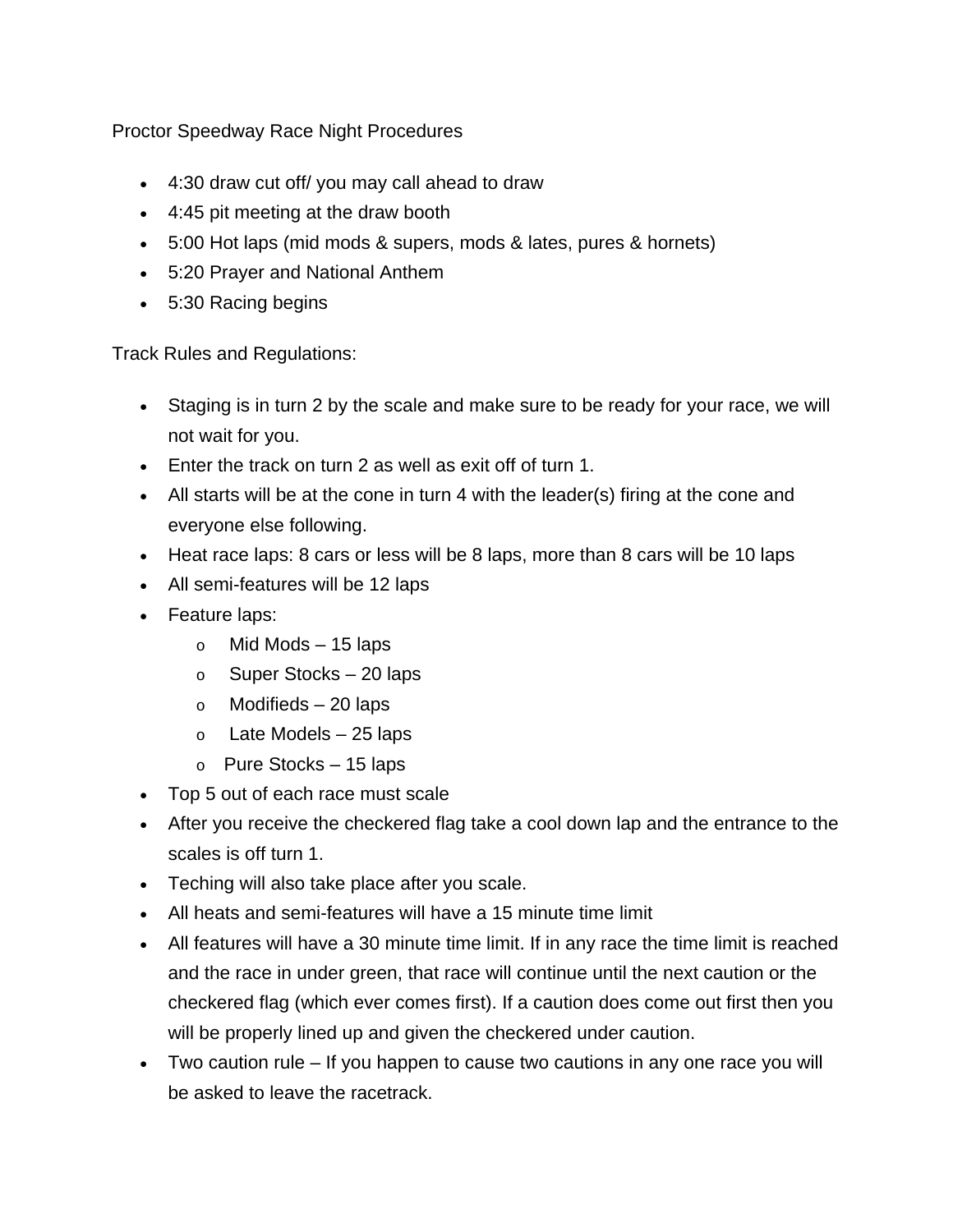Proctor Speedway Race Night Procedures

- 4:30 draw cut off/ you may call ahead to draw
- 4:45 pit meeting at the draw booth
- 5:00 Hot laps (mid mods & supers, mods & lates, pures & hornets)
- 5:20 Prayer and National Anthem
- 5:30 Racing begins

Track Rules and Regulations:

- Staging is in turn 2 by the scale and make sure to be ready for your race, we will not wait for you.
- Enter the track on turn 2 as well as exit off of turn 1.
- All starts will be at the cone in turn 4 with the leader(s) firing at the cone and everyone else following.
- Heat race laps: 8 cars or less will be 8 laps, more than 8 cars will be 10 laps
- All semi-features will be 12 laps
- Feature laps:
	- $\circ$  Mid Mods 15 laps
	- $\circ$  Super Stocks 20 laps
	- $\circ$  Modifieds 20 laps
	- $\circ$  Late Models 25 laps
	- $\circ$  Pure Stocks 15 laps
- Top 5 out of each race must scale
- After you receive the checkered flag take a cool down lap and the entrance to the scales is off turn 1.
- Teching will also take place after you scale.
- All heats and semi-features will have a 15 minute time limit
- All features will have a 30 minute time limit. If in any race the time limit is reached and the race in under green, that race will continue until the next caution or the checkered flag (which ever comes first). If a caution does come out first then you will be properly lined up and given the checkered under caution.
- Two caution rule If you happen to cause two cautions in any one race you will be asked to leave the racetrack.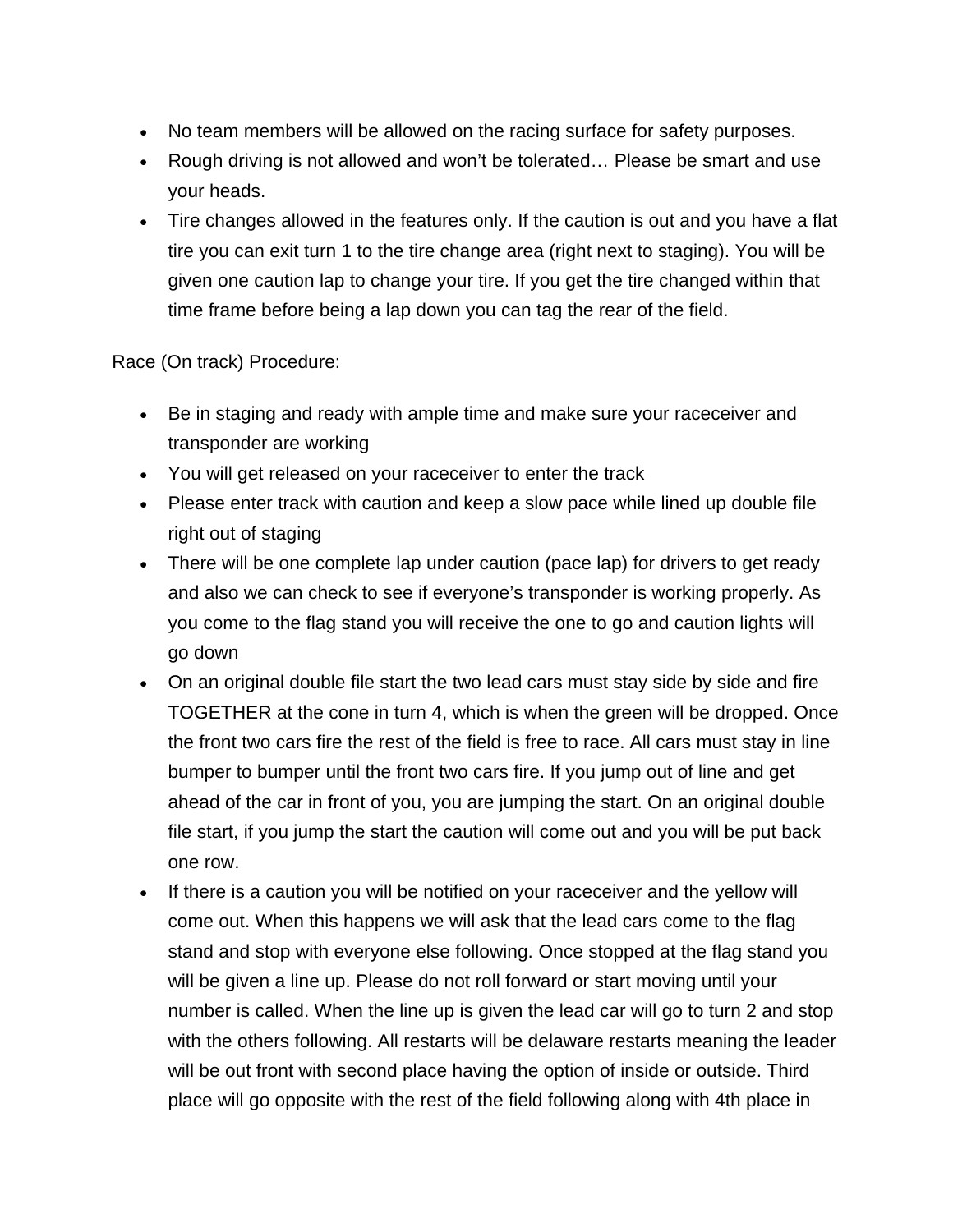- No team members will be allowed on the racing surface for safety purposes.
- Rough driving is not allowed and won't be tolerated... Please be smart and use your heads.
- Tire changes allowed in the features only. If the caution is out and you have a flat tire you can exit turn 1 to the tire change area (right next to staging). You will be given one caution lap to change your tire. If you get the tire changed within that time frame before being a lap down you can tag the rear of the field.

Race (On track) Procedure:

- Be in staging and ready with ample time and make sure your raceceiver and transponder are working
- You will get released on your raceceiver to enter the track
- Please enter track with caution and keep a slow pace while lined up double file right out of staging
- There will be one complete lap under caution (pace lap) for drivers to get ready and also we can check to see if everyone's transponder is working properly. As you come to the flag stand you will receive the one to go and caution lights will go down
- On an original double file start the two lead cars must stay side by side and fire TOGETHER at the cone in turn 4, which is when the green will be dropped. Once the front two cars fire the rest of the field is free to race. All cars must stay in line bumper to bumper until the front two cars fire. If you jump out of line and get ahead of the car in front of you, you are jumping the start. On an original double file start, if you jump the start the caution will come out and you will be put back one row.
- If there is a caution you will be notified on your raceceiver and the yellow will come out. When this happens we will ask that the lead cars come to the flag stand and stop with everyone else following. Once stopped at the flag stand you will be given a line up. Please do not roll forward or start moving until your number is called. When the line up is given the lead car will go to turn 2 and stop with the others following. All restarts will be delaware restarts meaning the leader will be out front with second place having the option of inside or outside. Third place will go opposite with the rest of the field following along with 4th place in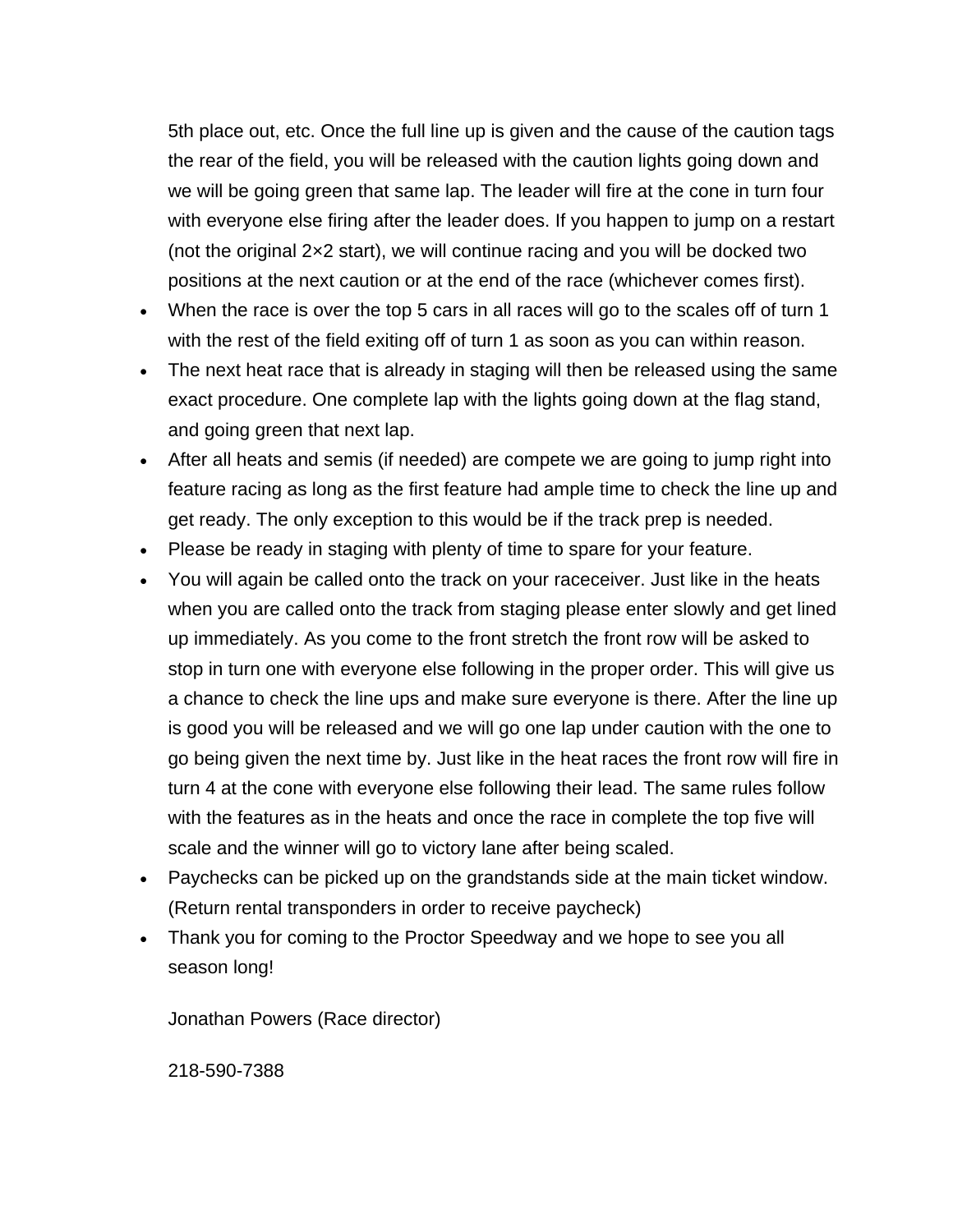5th place out, etc. Once the full line up is given and the cause of the caution tags the rear of the field, you will be released with the caution lights going down and we will be going green that same lap. The leader will fire at the cone in turn four with everyone else firing after the leader does. If you happen to jump on a restart (not the original 2×2 start), we will continue racing and you will be docked two positions at the next caution or at the end of the race (whichever comes first).

- When the race is over the top 5 cars in all races will go to the scales off of turn 1 with the rest of the field exiting off of turn 1 as soon as you can within reason.
- The next heat race that is already in staging will then be released using the same exact procedure. One complete lap with the lights going down at the flag stand, and going green that next lap.
- After all heats and semis (if needed) are compete we are going to jump right into feature racing as long as the first feature had ample time to check the line up and get ready. The only exception to this would be if the track prep is needed.
- Please be ready in staging with plenty of time to spare for your feature.
- You will again be called onto the track on your raceceiver. Just like in the heats when you are called onto the track from staging please enter slowly and get lined up immediately. As you come to the front stretch the front row will be asked to stop in turn one with everyone else following in the proper order. This will give us a chance to check the line ups and make sure everyone is there. After the line up is good you will be released and we will go one lap under caution with the one to go being given the next time by. Just like in the heat races the front row will fire in turn 4 at the cone with everyone else following their lead. The same rules follow with the features as in the heats and once the race in complete the top five will scale and the winner will go to victory lane after being scaled.
- Paychecks can be picked up on the grandstands side at the main ticket window. (Return rental transponders in order to receive paycheck)
- Thank you for coming to the Proctor Speedway and we hope to see you all season long!

Jonathan Powers (Race director)

218-590-7388